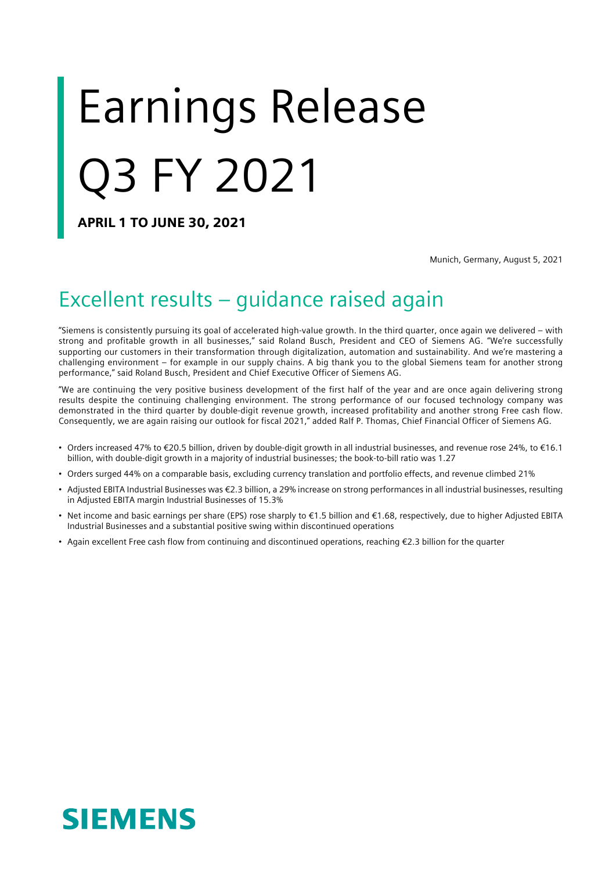# Earnings Release Q3 FY 2021

APRIL 1 TO JUNE 30, 2021

Munich, Germany, August 5, 2021

### Excellent results – guidance raised again

"Siemens is consistently pursuing its goal of accelerated high-value growth. In the third quarter, once again we delivered – with strong and profitable growth in all businesses," said Roland Busch, President and CEO of Siemens AG. "We're successfully supporting our customers in their transformation through digitalization, automation and sustainability. And we're mastering a challenging environment – for example in our supply chains. A big thank you to the global Siemens team for another strong performance," said Roland Busch, President and Chief Executive Officer of Siemens AG.

"We are continuing the very positive business development of the first half of the year and are once again delivering strong results despite the continuing challenging environment. The strong performance of our focused technology company was demonstrated in the third quarter by double-digit revenue growth, increased profitability and another strong Free cash flow. Consequently, we are again raising our outlook for fiscal 2021," added Ralf P. Thomas, Chief Financial Officer of Siemens AG.

- Orders increased 47% to €20.5 billion, driven by double-digit growth in all industrial businesses, and revenue rose 24%, to €16.1 billion, with double-digit growth in a majority of industrial businesses; the book-to-bill ratio was 1.27
- Orders surged 44% on a comparable basis, excluding currency translation and portfolio effects, and revenue climbed 21%
- Adjusted EBITA Industrial Businesses was €2.3 billion, a 29% increase on strong performances in all industrial businesses, resulting in Adjusted EBITA margin Industrial Businesses of 15.3%
- Net income and basic earnings per share (EPS) rose sharply to €1.5 billion and €1.68, respectively, due to higher Adjusted EBITA Industrial Businesses and a substantial positive swing within discontinued operations
- Again excellent Free cash flow from continuing and discontinued operations, reaching €2.3 billion for the quarter

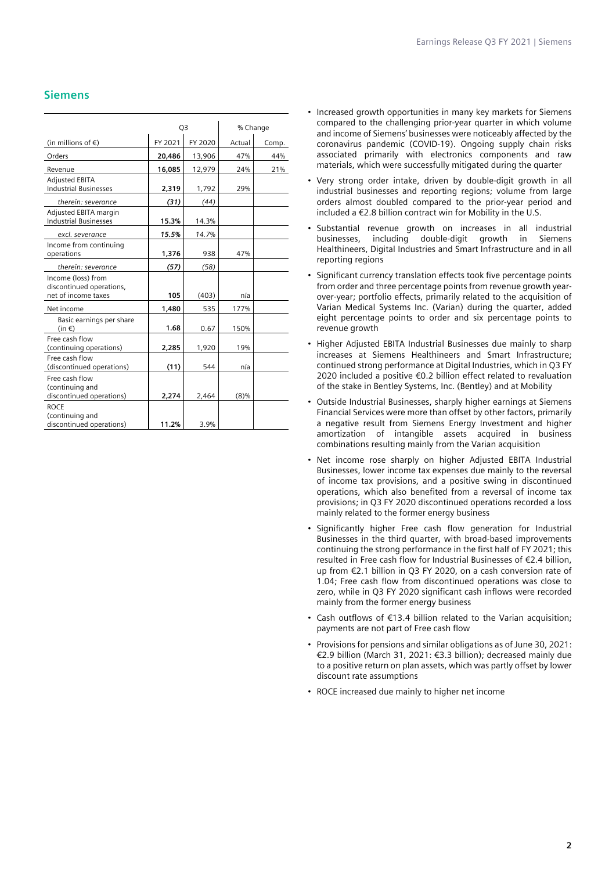### **Siemens**

|                                                                       | Q <sub>3</sub> |         | % Change |       |  |
|-----------------------------------------------------------------------|----------------|---------|----------|-------|--|
| (in millions of $\epsilon$ )                                          | FY 2021        | FY 2020 | Actual   | Comp. |  |
| Orders                                                                | 20,486         | 13,906  | 47%      | 44%   |  |
| Revenue                                                               | 16,085         | 12,979  | 24%      | 21%   |  |
| <b>Adjusted EBITA</b><br><b>Industrial Businesses</b>                 | 2,319          | 1,792   |          |       |  |
| therein: severance                                                    | (31)           | (44)    |          |       |  |
| Adjusted EBITA margin<br><b>Industrial Businesses</b>                 | 15.3%          | 14.3%   |          |       |  |
| excl. severance                                                       | 15.5%          | 14.7%   |          |       |  |
| Income from continuing<br>operations                                  | 1,376          | 938     | 47%      |       |  |
| therein: severance                                                    | (57)           | (58)    |          |       |  |
| Income (loss) from<br>discontinued operations,<br>net of income taxes | 105            | (403)   | n/a      |       |  |
| Net income                                                            | 1,480          | 535     | 177%     |       |  |
| Basic earnings per share<br>$(in \in)$                                | 1.68           | 0.67    | 150%     |       |  |
| Free cash flow<br>(continuing operations)                             | 2,285          | 1,920   | 19%      |       |  |
| Free cash flow<br>(discontinued operations)                           | (11)           | 544     | n/a      |       |  |
| Free cash flow<br>(continuing and<br>discontinued operations)         | 2,274          | 2,464   | $(8)\%$  |       |  |
| <b>ROCE</b><br>(continuing and<br>discontinued operations)            | 11.2%          | 3.9%    |          |       |  |

- Increased growth opportunities in many key markets for Siemens compared to the challenging prior-year quarter in which volume and income of Siemens' businesses were noticeably affected by the coronavirus pandemic (COVID-19). Ongoing supply chain risks associated primarily with electronics components and raw materials, which were successfully mitigated during the quarter
- Very strong order intake, driven by double-digit growth in all industrial businesses and reporting regions; volume from large orders almost doubled compared to the prior-year period and included a €2.8 billion contract win for Mobility in the U.S.
- Substantial revenue growth on increases in all industrial including double-digit growth in Siemens Healthineers, Digital Industries and Smart Infrastructure and in all reporting regions
- Significant currency translation effects took five percentage points from order and three percentage points from revenue growth yearover-year; portfolio effects, primarily related to the acquisition of Varian Medical Systems Inc. (Varian) during the quarter, added eight percentage points to order and six percentage points to revenue growth
- Higher Adjusted EBITA Industrial Businesses due mainly to sharp increases at Siemens Healthineers and Smart Infrastructure; continued strong performance at Digital Industries, which in Q3 FY 2020 included a positive €0.2 billion effect related to revaluation of the stake in Bentley Systems, Inc. (Bentley) and at Mobility
- Outside Industrial Businesses, sharply higher earnings at Siemens Financial Services were more than offset by other factors, primarily a negative result from Siemens Energy Investment and higher amortization of intangible assets acquired in business combinations resulting mainly from the Varian acquisition
- Net income rose sharply on higher Adjusted EBITA Industrial Businesses, lower income tax expenses due mainly to the reversal of income tax provisions, and a positive swing in discontinued operations, which also benefited from a reversal of income tax provisions; in Q3 FY 2020 discontinued operations recorded a loss mainly related to the former energy business
- Significantly higher Free cash flow generation for Industrial Businesses in the third quarter, with broad-based improvements continuing the strong performance in the first half of FY 2021; this resulted in Free cash flow for Industrial Businesses of €2.4 billion, up from €2.1 billion in Q3 FY 2020, on a cash conversion rate of 1.04; Free cash flow from discontinued operations was close to zero, while in Q3 FY 2020 significant cash inflows were recorded mainly from the former energy business
- Cash outflows of €13.4 billion related to the Varian acquisition; payments are not part of Free cash flow
- Provisions for pensions and similar obligations as of June 30, 2021: €2.9 billion (March 31, 2021: €3.3 billion); decreased mainly due to a positive return on plan assets, which was partly offset by lower discount rate assumptions
- ROCE increased due mainly to higher net income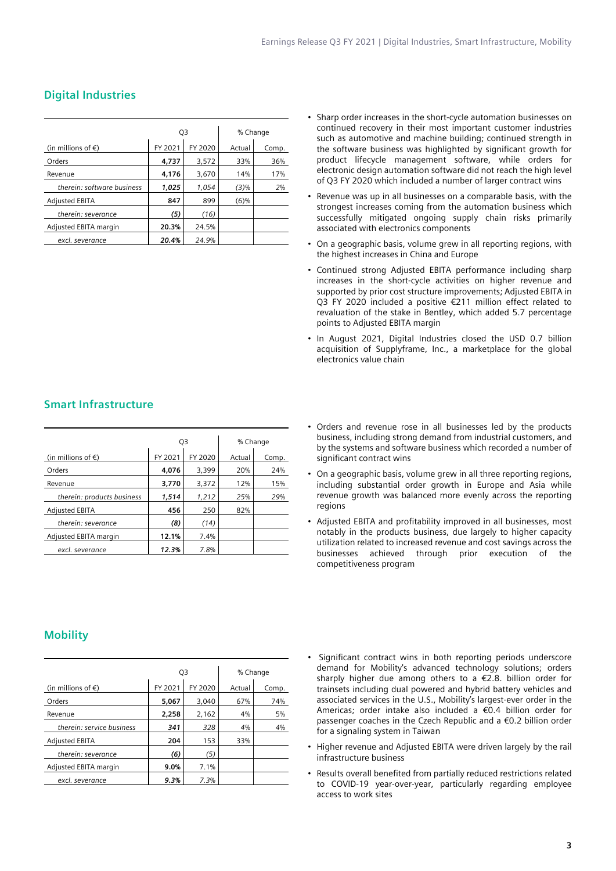|                              | Q3      |         | % Change |       |  |
|------------------------------|---------|---------|----------|-------|--|
| (in millions of $\epsilon$ ) | FY 2021 | FY 2020 | Actual   | Comp. |  |
| Orders                       | 4,737   | 3,572   | 33%      | 36%   |  |
| Revenue                      | 4,176   | 3,670   | 14%      | 17%   |  |
| therein: software business   | 1.025   | 1,054   | (3)%     | 2%    |  |
| <b>Adjusted EBITA</b>        | 847     | 899     | (6)%     |       |  |
| therein: severance           | (5)     | (16)    |          |       |  |
| Adjusted EBITA margin        | 20.3%   | 24.5%   |          |       |  |
| excl. severance              | 20.4%   | 24.9%   |          |       |  |

### **Digital Industries**

- Sharp order increases in the short-cycle automation businesses on continued recovery in their most important customer industries such as automotive and machine building; continued strength in the software business was highlighted by significant growth for product lifecycle management software, while orders for electronic design automation software did not reach the high level of Q3 FY 2020 which included a number of larger contract wins
- Revenue was up in all businesses on a comparable basis, with the strongest increases coming from the automation business which successfully mitigated ongoing supply chain risks primarily associated with electronics components
- On a geographic basis, volume grew in all reporting regions, with the highest increases in China and Europe
- Continued strong Adjusted EBITA performance including sharp increases in the short-cycle activities on higher revenue and supported by prior cost structure improvements; Adjusted EBITA in Q3 FY 2020 included a positive €211 million effect related to revaluation of the stake in Bentley, which added 5.7 percentage points to Adjusted EBITA margin
- In August 2021, Digital Industries closed the USD 0.7 billion acquisition of Supplyframe, Inc., a marketplace for the global electronics value chain

### **Smart Infrastructure**

|                              | Q3      |         | % Change |       |  |
|------------------------------|---------|---------|----------|-------|--|
| (in millions of $\epsilon$ ) | FY 2021 | FY 2020 | Actual   | Comp. |  |
| Orders                       | 4,076   | 3,399   | 20%      | 24%   |  |
| Revenue                      | 3,770   | 3,372   | 12%      | 15%   |  |
| therein: products business   | 1,514   | 1,212   | 25%      | 29%   |  |
| <b>Adjusted EBITA</b>        | 456     | 250     | 82%      |       |  |
| therein: severance           | (8)     | (14)    |          |       |  |
| Adjusted EBITA margin        | 12.1%   | 7.4%    |          |       |  |
| excl. severance              | 12.3%   | 7.8%    |          |       |  |

- Orders and revenue rose in all businesses led by the products business, including strong demand from industrial customers, and by the systems and software business which recorded a number of significant contract wins
- On a geographic basis, volume grew in all three reporting regions, including substantial order growth in Europe and Asia while revenue growth was balanced more evenly across the reporting regions
- Adjusted EBITA and profitability improved in all businesses, most notably in the products business, due largely to higher capacity utilization related to increased revenue and cost savings across the businesses achieved through prior execution of the competitiveness program

### **Mobility**

|                              | Q3      |         | % Change |       |  |
|------------------------------|---------|---------|----------|-------|--|
| (in millions of $\epsilon$ ) | FY 2021 | FY 2020 | Actual   | Comp. |  |
| Orders                       | 5,067   | 3,040   | 67%      | 74%   |  |
| Revenue                      | 2,258   | 2,162   | 4%       | 5%    |  |
| therein: service business    | 341     | 328     | 4%       | 4%    |  |
| <b>Adjusted EBITA</b>        | 204     | 153     | 33%      |       |  |
| therein: severance           | (6)     | (5)     |          |       |  |
| Adjusted EBITA margin        | 9.0%    | 7.1%    |          |       |  |
| excl. severance              | 9.3%    | 7.3%    |          |       |  |

- Significant contract wins in both reporting periods underscore demand for Mobility's advanced technology solutions; orders sharply higher due among others to a €2.8. billion order for trainsets including dual powered and hybrid battery vehicles and associated services in the U.S., Mobility's largest-ever order in the Americas; order intake also included a €0.4 billion order for passenger coaches in the Czech Republic and a €0.2 billion order for a signaling system in Taiwan
- Higher revenue and Adjusted EBITA were driven largely by the rail infrastructure business
- Results overall benefited from partially reduced restrictions related to COVID-19 year-over-year, particularly regarding employee access to work sites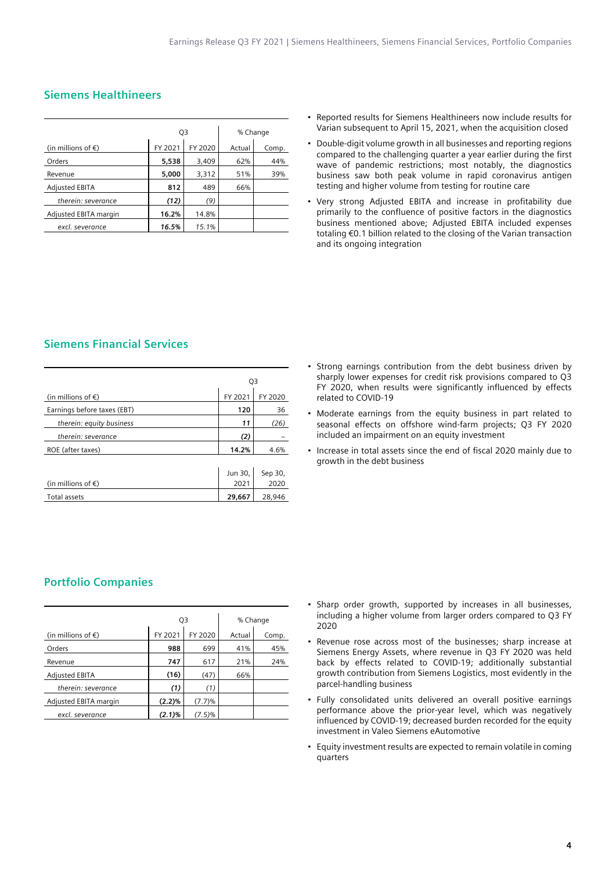### **Siemens Healthineers**

|                              | Q3      |         | % Change |       |  |
|------------------------------|---------|---------|----------|-------|--|
| (in millions of $\epsilon$ ) | FY 2021 | FY 2020 | Actual   | Comp. |  |
| Orders                       | 5,538   | 3,409   | 62%      | 44%   |  |
| Revenue                      | 5,000   | 3,312   | 51%      | 39%   |  |
| <b>Adjusted EBITA</b>        | 812     | 489     | 66%      |       |  |
| therein: severance           | (12)    | (9)     |          |       |  |
| Adjusted EBITA margin        | 16.2%   | 14.8%   |          |       |  |
| excl. severance              | 16.5%   | 15.1%   |          |       |  |

- Reported results for Siemens Healthineers now include results for Varian subsequent to April 15, 2021, when the acquisition closed
- Double-digit volume growth in all businesses and reporting regions compared to the challenging quarter a year earlier during the first wave of pandemic restrictions; most notably, the diagnostics business saw both peak volume in rapid coronavirus antigen testing and higher volume from testing for routine care
- Very strong Adjusted EBITA and increase in profitability due primarily to the confluence of positive factors in the diagnostics business mentioned above; Adjusted EBITA included expenses totaling €0.1 billion related to the closing of the Varian transaction and its ongoing integration

### **Siemens Financial Services**

|                              | Q3      |         |  |
|------------------------------|---------|---------|--|
| (in millions of $\epsilon$ ) | FY 2021 | FY 2020 |  |
| Earnings before taxes (EBT)  | 120     | 36      |  |
| therein: equity business     | 11      | (26)    |  |
| therein: severance           | (2)     |         |  |
| ROE (after taxes)            | 14.2%   | 4.6%    |  |
|                              |         |         |  |
|                              | Jun 30, | Sep 30, |  |
| (in millions of $\epsilon$ ) | 2021    | 2020    |  |
| Total assets                 | 29,667  | 28,946  |  |
|                              |         |         |  |

- Strong earnings contribution from the debt business driven by sharply lower expenses for credit risk provisions compared to Q3 FY 2020, when results were significantly influenced by effects related to COVID-19
- Moderate earnings from the equity business in part related to seasonal effects on offshore wind-farm projects; Q3 FY 2020 included an impairment on an equity investment
- Increase in total assets since the end of fiscal 2020 mainly due to growth in the debt business

### **Portfolio Companies**

|                              | Q3        |           | % Change |       |  |
|------------------------------|-----------|-----------|----------|-------|--|
| (in millions of $\epsilon$ ) | FY 2021   | FY 2020   | Actual   | Comp. |  |
| Orders                       | 988       | 699       | 41%      | 45%   |  |
| Revenue                      | 747       | 617       | 21%      | 24%   |  |
| <b>Adjusted EBITA</b>        | (16)      | (47)      | 66%      |       |  |
| therein: severance           | (1)       | (1)       |          |       |  |
| Adjusted EBITA margin        | (2.2)%    | (7.7)%    |          |       |  |
| excl. severance              | $(2.1)\%$ | $(7.5)\%$ |          |       |  |

- Sharp order growth, supported by increases in all businesses, including a higher volume from larger orders compared to Q3 FY 2020
- Revenue rose across most of the businesses; sharp increase at Siemens Energy Assets, where revenue in Q3 FY 2020 was held back by effects related to COVID-19; additionally substantial growth contribution from Siemens Logistics, most evidently in the parcel-handling business
- Fully consolidated units delivered an overall positive earnings performance above the prior-year level, which was negatively influenced by COVID-19; decreased burden recorded for the equity investment in Valeo Siemens eAutomotive
- Equity investment results are expected to remain volatile in coming quarters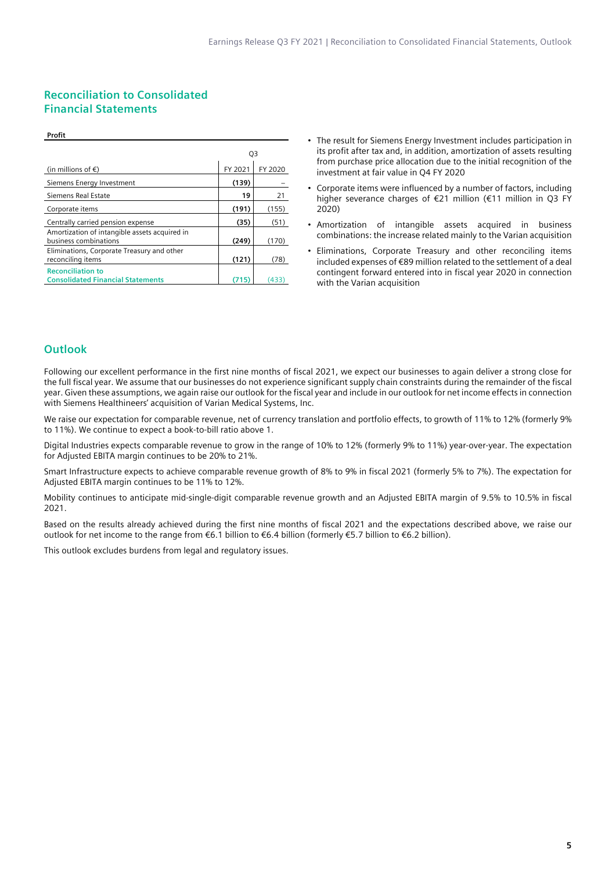### **Reconciliation to Consolidated Financial Statements**

|                                                                        | Q3      |         |
|------------------------------------------------------------------------|---------|---------|
| (in millions of $\epsilon$ )                                           | FY 2021 | FY 2020 |
| Siemens Energy Investment                                              | (139)   |         |
| Siemens Real Estate                                                    | 19      | 21      |
| Corporate items                                                        | (191)   | (155)   |
| Centrally carried pension expense                                      | (35)    | (51)    |
| Amortization of intangible assets acquired in<br>business combinations | (249)   | (170)   |
| Eliminations, Corporate Treasury and other<br>reconciling items        | (121)   | (78)    |
| <b>Reconciliation to</b><br><b>Consolidated Financial Statements</b>   | (715    | (433)   |

- The result for Siemens Energy Investment includes participation in its profit after tax and, in addition, amortization of assets resulting from purchase price allocation due to the initial recognition of the investment at fair value in Q4 FY 2020
- Corporate items were influenced by a number of factors, including higher severance charges of €21 million (€11 million in Q3 FY 2020)
- Amortization of intangible assets acquired in business combinations: the increase related mainly to the Varian acquisition
- Eliminations, Corporate Treasury and other reconciling items included expenses of €89 million related to the settlement of a deal contingent forward entered into in fiscal year 2020 in connection with the Varian acquisition

### **Outlook**

**Profit**

Following our excellent performance in the first nine months of fiscal 2021, we expect our businesses to again deliver a strong close for the full fiscal year. We assume that our businesses do not experience significant supply chain constraints during the remainder of the fiscal year. Given these assumptions, we again raise our outlook for the fiscal year and include in our outlook for net income effects in connection with Siemens Healthineers' acquisition of Varian Medical Systems, Inc.

We raise our expectation for comparable revenue, net of currency translation and portfolio effects, to growth of 11% to 12% (formerly 9% to 11%). We continue to expect a book-to-bill ratio above 1.

Digital Industries expects comparable revenue to grow in the range of 10% to 12% (formerly 9% to 11%) year-over-year. The expectation for Adjusted EBITA margin continues to be 20% to 21%.

Smart Infrastructure expects to achieve comparable revenue growth of 8% to 9% in fiscal 2021 (formerly 5% to 7%). The expectation for Adjusted EBITA margin continues to be 11% to 12%.

Mobility continues to anticipate mid-single-digit comparable revenue growth and an Adjusted EBITA margin of 9.5% to 10.5% in fiscal 2021.

Based on the results already achieved during the first nine months of fiscal 2021 and the expectations described above, we raise our outlook for net income to the range from €6.1 billion to €6.4 billion (formerly €5.7 billion to €6.2 billion).

This outlook excludes burdens from legal and regulatory issues.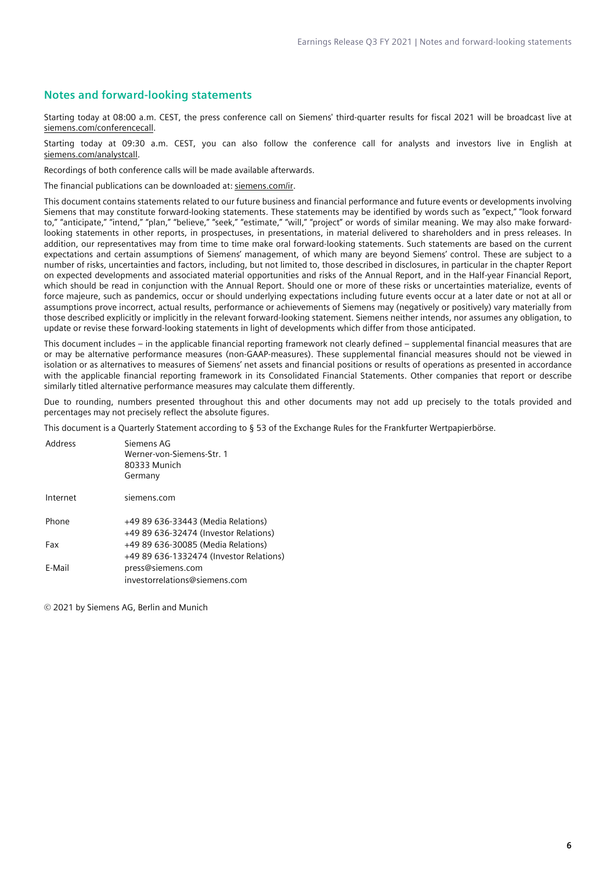### **Notes and forward-looking statements**

Starting today at 08:00 a.m. CEST, the press conference call on Siemens' third-quarter results for fiscal 2021 will be broadcast live at [siemens.com/conferencecall](http://www.siemens.com/conferencecall).

Starting today at 09:30 a.m. CEST, you can also follow the conference call for analysts and investors live in English at [siemens.com/analystcall.](http://www.siemens.com/analystcall)

Recordings of both conference calls will be made available afterwards.

The financial publications can be downloaded at: [siemens.com/ir](http://www.siemens.com/ir).

This document contains statements related to our future business and financial performance and future events or developments involving Siemens that may constitute forward-looking statements. These statements may be identified by words such as "expect," "look forward to," "anticipate," "intend," "plan," "believe," "seek," "estimate," "will," "project" or words of similar meaning. We may also make forwardlooking statements in other reports, in prospectuses, in presentations, in material delivered to shareholders and in press releases. In addition, our representatives may from time to time make oral forward-looking statements. Such statements are based on the current expectations and certain assumptions of Siemens' management, of which many are beyond Siemens' control. These are subject to a number of risks, uncertainties and factors, including, but not limited to, those described in disclosures, in particular in the chapter Report on expected developments and associated material opportunities and risks of the Annual Report, and in the Half-year Financial Report, which should be read in conjunction with the Annual Report. Should one or more of these risks or uncertainties materialize, events of force majeure, such as pandemics, occur or should underlying expectations including future events occur at a later date or not at all or assumptions prove incorrect, actual results, performance or achievements of Siemens may (negatively or positively) vary materially from those described explicitly or implicitly in the relevant forward-looking statement. Siemens neither intends, nor assumes any obligation, to update or revise these forward-looking statements in light of developments which differ from those anticipated.

This document includes – in the applicable financial reporting framework not clearly defined – supplemental financial measures that are or may be alternative performance measures (non-GAAP-measures). These supplemental financial measures should not be viewed in isolation or as alternatives to measures of Siemens' net assets and financial positions or results of operations as presented in accordance with the applicable financial reporting framework in its Consolidated Financial Statements. Other companies that report or describe similarly titled alternative performance measures may calculate them differently.

Due to rounding, numbers presented throughout this and other documents may not add up precisely to the totals provided and percentages may not precisely reflect the absolute figures.

This document is a Quarterly Statement according to § 53 of the Exchange Rules for the Frankfurter Wertpapierbörse.

| Address  | Siemens AG<br>Werner-von-Siemens-Str. 1<br>80333 Munich<br>Germany            |
|----------|-------------------------------------------------------------------------------|
| Internet | siemens.com                                                                   |
| Phone    | +49 89 636-33443 (Media Relations)<br>+49 89 636-32474 (Investor Relations)   |
| Fax      | +49 89 636-30085 (Media Relations)<br>+49 89 636-1332474 (Investor Relations) |
| E-Mail   | press@siemens.com<br>investorrelations@siemens.com                            |

© 2021 by Siemens AG, Berlin and Munich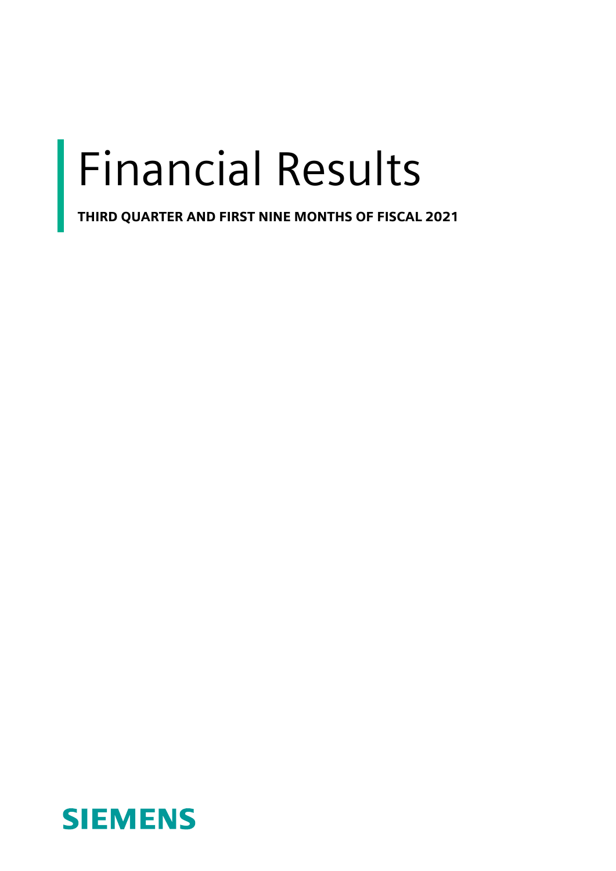## Financial Results

THIRD QUARTER AND FIRST NINE MONTHS OF FISCAL 2021

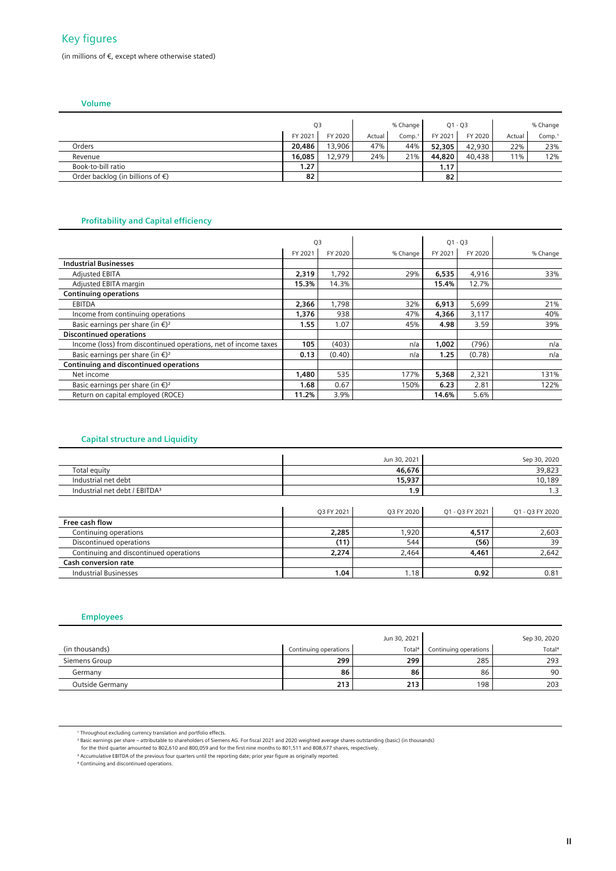### Key figures

(in millions of €, except where otherwise stated)

 **Volume**

|                                            | Q3      |         |        | % Change |         | $Q1 - Q3$ |        | % Change |
|--------------------------------------------|---------|---------|--------|----------|---------|-----------|--------|----------|
|                                            | FY 2021 | FY 2020 | Actual | Comp.1   | FY 2021 | FY 2020   | Actual | Comp.1   |
| Orders                                     | 20,486  | 13,906  | 47%    | 44%      | 52,305  | 42,930    | 22%    | 23%      |
| Revenue                                    | 16,085  | 12,979  | 24%    | 21%      | 44,820  | 40,438    | 11%    | 12%      |
| Book-to-bill ratio                         | 1.27    |         |        |          | 1.17    |           |        |          |
| Order backlog (in billions of $\epsilon$ ) | 82      |         |        |          | 82      |           |        |          |

### **Profitability and Capital efficiency**

|                                                                 | Q3      |         |          | $Q1 - Q3$ |         |          |
|-----------------------------------------------------------------|---------|---------|----------|-----------|---------|----------|
|                                                                 |         |         |          |           |         |          |
|                                                                 | FY 2021 | FY 2020 | % Change | FY 2021   | FY 2020 | % Change |
| <b>Industrial Businesses</b>                                    |         |         |          |           |         |          |
| <b>Adjusted EBITA</b>                                           | 2,319   | 1,792   | 29%      | 6,535     | 4,916   | 33%      |
| Adjusted EBITA margin                                           | 15.3%   | 14.3%   |          | 15.4%     | 12.7%   |          |
| <b>Continuing operations</b>                                    |         |         |          |           |         |          |
| <b>EBITDA</b>                                                   | 2,366   | 1,798   | 32%      | 6,913     | 5,699   | 21%      |
| Income from continuing operations                               | 1,376   | 938     | 47%      | 4,366     | 3,117   | 40%      |
| Basic earnings per share (in $\epsilon$ ) <sup>2</sup>          | 1.55    | 1.07    | 45%      | 4.98      | 3.59    | 39%      |
| <b>Discontinued operations</b>                                  |         |         |          |           |         |          |
| Income (loss) from discontinued operations, net of income taxes | 105     | (403)   | n/a      | 1,002     | (796)   | n/a      |
| Basic earnings per share (in $\epsilon$ ) <sup>2</sup>          | 0.13    | (0.40)  | n/a      | 1.25      | (0.78)  | n/a      |
| <b>Continuing and discontinued operations</b>                   |         |         |          |           |         |          |
| Net income                                                      | 1,480   | 535     | 177%     | 5,368     | 2,321   | 131%     |
| Basic earnings per share (in $\epsilon$ ) <sup>2</sup>          | 1.68    | 0.67    | 150%     | 6.23      | 2.81    | 122%     |
| Return on capital employed (ROCE)                               | 11.2%   | 3.9%    |          | 14.6%     | 5.6%    |          |

### **Capital structure and Liquidity**

|                                           |            | Jun 30, 2021 | Sep 30, 2020    |                 |  |
|-------------------------------------------|------------|--------------|-----------------|-----------------|--|
| Total equity                              |            | 46,676       |                 | 39,823          |  |
| Industrial net debt                       |            | 15,937       |                 | 10,189          |  |
| Industrial net debt / EBITDA <sup>3</sup> |            | 1.9          |                 | 1.3             |  |
|                                           |            |              |                 |                 |  |
|                                           | O3 FY 2021 | O3 FY 2020   | Q1 - Q3 FY 2021 | Q1 - Q3 FY 2020 |  |
| Free cash flow                            |            |              |                 |                 |  |
| Continuing operations                     | 2,285      | 1,920        | 4,517           | 2,603           |  |
| Discontinued operations                   | (11)       | 544          | (56)            | 39              |  |
| Continuing and discontinued operations    | 2,274      | 2,464        | 4,461           | 2,642           |  |
| <b>Cash conversion rate</b>               |            |              |                 |                 |  |
| <b>Industrial Businesses</b>              | 1.04       | 1.18         | 0.92            | 0.81            |  |

### **Employees**

|                 |                       | Jun 30, 2021       |                       | Sep 30, 2020       |
|-----------------|-----------------------|--------------------|-----------------------|--------------------|
| (in thousands)  | Continuing operations | Total <sup>4</sup> | Continuing operations | Total <sup>4</sup> |
| Siemens Group   | 299                   | 299                | 285                   | 293                |
| Germany         | 86                    | 86                 | 86                    | 90                 |
| Outside Germany | 213                   | 213                | 198                   | 203                |

<sup>&</sup>lt;sup>1</sup> Throughout excluding currency translation and portfolio effects.<br><sup>2</sup> Basic earnings per share – attributable to shareholders of Siemens AG. For fiscal 2021 and 2020 weighted average shares outstanding (basic) (in thous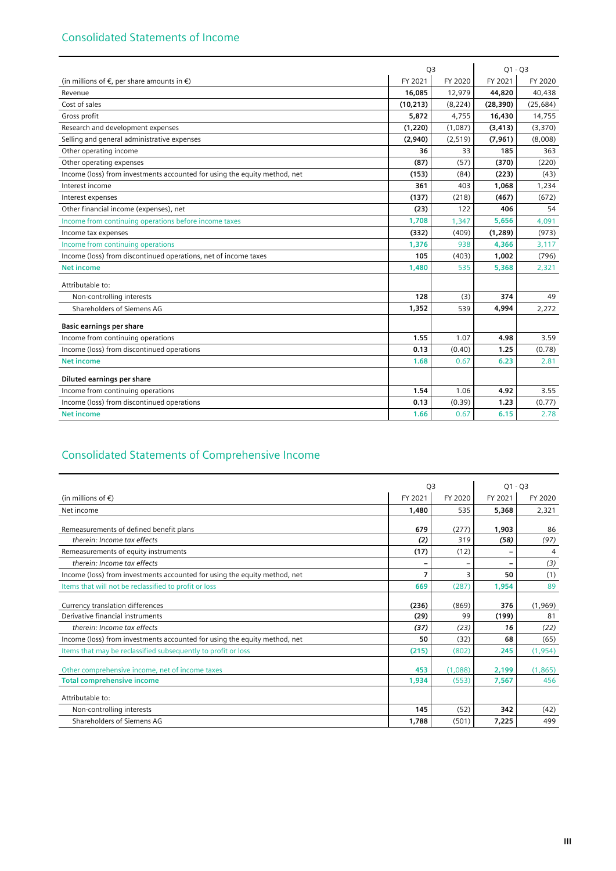|                                                                           | Q <sub>3</sub> |          | $Q1 - Q3$ |           |
|---------------------------------------------------------------------------|----------------|----------|-----------|-----------|
| (in millions of $\epsilon$ , per share amounts in $\epsilon$ )            | FY 2021        | FY 2020  | FY 2021   | FY 2020   |
| Revenue                                                                   | 16,085         | 12,979   | 44,820    | 40,438    |
| Cost of sales                                                             | (10, 213)      | (8, 224) | (28, 390) | (25, 684) |
| Gross profit                                                              | 5,872          | 4,755    | 16,430    | 14,755    |
| Research and development expenses                                         | (1,220)        | (1,087)  | (3, 413)  | (3,370)   |
| Selling and general administrative expenses                               | (2,940)        | (2, 519) | (7,961)   | (8,008)   |
| Other operating income                                                    | 36             | 33       | 185       | 363       |
| Other operating expenses                                                  | (87)           | (57)     | (370)     | (220)     |
| Income (loss) from investments accounted for using the equity method, net | (153)          | (84)     | (223)     | (43)      |
| Interest income                                                           | 361            | 403      | 1,068     | 1,234     |
| Interest expenses                                                         | (137)          | (218)    | (467)     | (672)     |
| Other financial income (expenses), net                                    | (23)           | 122      | 406       | 54        |
| Income from continuing operations before income taxes                     | 1,708          | 1.347    | 5,656     | 4,091     |
| Income tax expenses                                                       | (332)          | (409)    | (1, 289)  | (973)     |
| Income from continuing operations                                         | 1,376          | 938      | 4,366     | 3,117     |
| Income (loss) from discontinued operations, net of income taxes           | 105            | (403)    | 1,002     | (796)     |
| <b>Net income</b>                                                         | 1,480          | 535      | 5,368     | 2,321     |
| Attributable to:                                                          |                |          |           |           |
| Non-controlling interests                                                 | 128            | (3)      | 374       | 49        |
| Shareholders of Siemens AG                                                | 1,352          | 539      | 4,994     | 2,272     |
| <b>Basic earnings per share</b>                                           |                |          |           |           |
| Income from continuing operations                                         | 1.55           | 1.07     | 4.98      | 3.59      |
| Income (loss) from discontinued operations                                | 0.13           | (0.40)   | 1.25      | (0.78)    |
| <b>Net income</b>                                                         | 1.68           | 0.67     | 6.23      | 2.81      |
| Diluted earnings per share                                                |                |          |           |           |
| Income from continuing operations                                         | 1.54           | 1.06     | 4.92      | 3.55      |
| Income (loss) from discontinued operations                                | 0.13           | (0.39)   | 1.23      | (0.77)    |
| <b>Net income</b>                                                         | 1.66           | 0.67     | 6.15      | 2.78      |

### Consolidated Statements of Comprehensive Income

|                                                                           | Q <sub>3</sub> |         | $Q1 - Q3$ |          |
|---------------------------------------------------------------------------|----------------|---------|-----------|----------|
| (in millions of $\epsilon$ )                                              | FY 2021        | FY 2020 | FY 2021   | FY 2020  |
| Net income                                                                | 1,480          | 535     | 5,368     | 2,321    |
| Remeasurements of defined benefit plans                                   | 679            | (277)   | 1,903     | 86       |
| therein: Income tax effects                                               | (2)            | 319     | (58)      | (97)     |
| Remeasurements of equity instruments                                      | (17)           | (12)    | -         | 4        |
| therein: Income tax effects                                               |                |         | -         | (3)      |
| Income (loss) from investments accounted for using the equity method, net | 7              | 3       | 50        | (1)      |
| Items that will not be reclassified to profit or loss                     | 669            | (287)   | 1,954     | 89       |
| Currency translation differences                                          | (236)          | (869)   | 376       | (1,969)  |
| Derivative financial instruments                                          | (29)           | 99      | (199)     | 81       |
| therein: Income tax effects                                               | (37)           | (23)    | 16        | (22)     |
| Income (loss) from investments accounted for using the equity method, net | 50             | (32)    | 68        | (65)     |
| Items that may be reclassified subsequently to profit or loss             | (215)          | (802)   | 245       | (1, 954) |
| Other comprehensive income, net of income taxes                           | 453            | (1,088) | 2,199     | (1, 865) |
| <b>Total comprehensive income</b>                                         | 1.934          | (553)   | 7,567     | 456      |
| Attributable to:                                                          |                |         |           |          |
| Non-controlling interests                                                 | 145            | (52)    | 342       | (42)     |
| Shareholders of Siemens AG                                                | 1,788          | (501)   | 7,225     | 499      |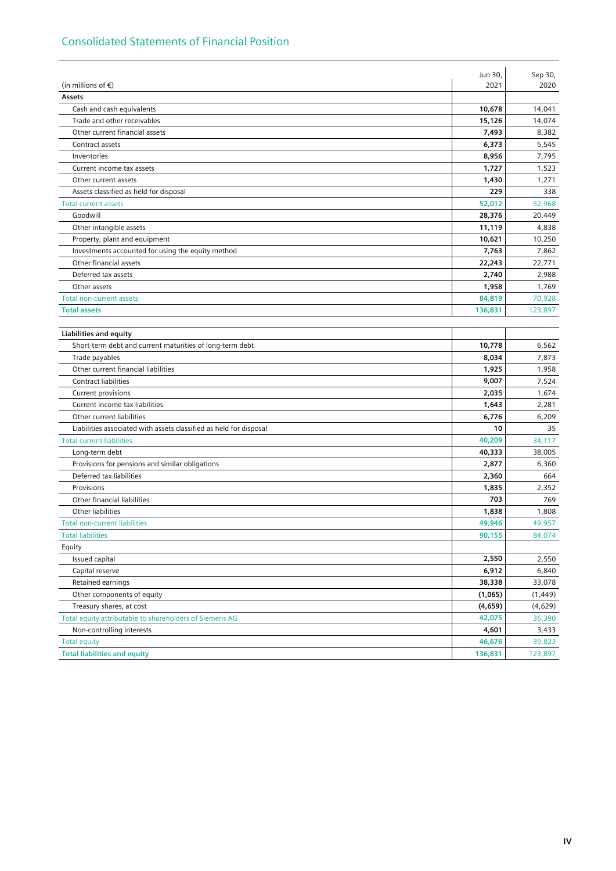### Consolidated Statements of Financial Position

|                                                                    | Jun 30, | Sep 30,  |
|--------------------------------------------------------------------|---------|----------|
| (in millions of $\epsilon$ )                                       | 2021    | 2020     |
| Assets                                                             |         |          |
| Cash and cash equivalents                                          | 10,678  | 14,041   |
| Trade and other receivables                                        | 15,126  | 14,074   |
| Other current financial assets                                     | 7,493   | 8,382    |
| Contract assets                                                    | 6,373   | 5,545    |
| Inventories                                                        | 8,956   | 7,795    |
| Current income tax assets                                          | 1,727   | 1,523    |
| Other current assets                                               | 1,430   | 1,271    |
| Assets classified as held for disposal                             | 229     | 338      |
| <b>Total current assets</b>                                        | 52,012  | 52,968   |
| Goodwill                                                           | 28,376  | 20,449   |
| Other intangible assets                                            | 11,119  | 4,838    |
| Property, plant and equipment                                      | 10,621  | 10,250   |
| Investments accounted for using the equity method                  | 7,763   | 7,862    |
| Other financial assets                                             | 22,243  | 22,771   |
| Deferred tax assets                                                | 2,740   | 2,988    |
| Other assets                                                       | 1,958   | 1,769    |
| <b>Total non-current assets</b>                                    | 84,819  | 70,928   |
| <b>Total assets</b>                                                | 136,831 | 123,897  |
|                                                                    |         |          |
| <b>Liabilities and equity</b>                                      |         |          |
| Short-term debt and current maturities of long-term debt           | 10,778  | 6,562    |
| Trade payables                                                     | 8,034   | 7,873    |
| Other current financial liabilities                                | 1,925   | 1,958    |
| Contract liabilities                                               | 9,007   | 7,524    |
| Current provisions                                                 | 2,035   | 1,674    |
| Current income tax liabilities                                     | 1,643   | 2,281    |
| Other current liabilities                                          | 6,776   | 6,209    |
| Liabilities associated with assets classified as held for disposal | 10      | 35       |
| <b>Total current liabilities</b>                                   | 40,209  | 34,117   |
| Long-term debt                                                     | 40,333  | 38,005   |
| Provisions for pensions and similar obligations                    | 2,877   | 6,360    |
| Deferred tax liabilities                                           | 2,360   | 664      |
| Provisions                                                         | 1,835   | 2,352    |
| Other financial liabilities                                        | 703     | 769      |
| Other liabilities                                                  | 1,838   | 1,808    |
| <b>Total non-current liabilities</b>                               | 49,946  | 49,957   |
| <b>Total liabilities</b>                                           | 90,155  | 84,074   |
| Equity                                                             |         |          |
| Issued capital                                                     | 2,550   | 2,550    |
| Capital reserve                                                    | 6,912   | 6,840    |
| Retained earnings                                                  | 38,338  | 33,078   |
| Other components of equity                                         | (1,065) | (1, 449) |
| Treasury shares, at cost                                           | (4,659) | (4,629)  |
| Total equity attributable to shareholders of Siemens AG            | 42,075  | 36,390   |
| Non-controlling interests                                          | 4,601   | 3,433    |
| <b>Total equity</b>                                                | 46,676  | 39,823   |
| <b>Total liabilities and equity</b>                                | 136,831 | 123,897  |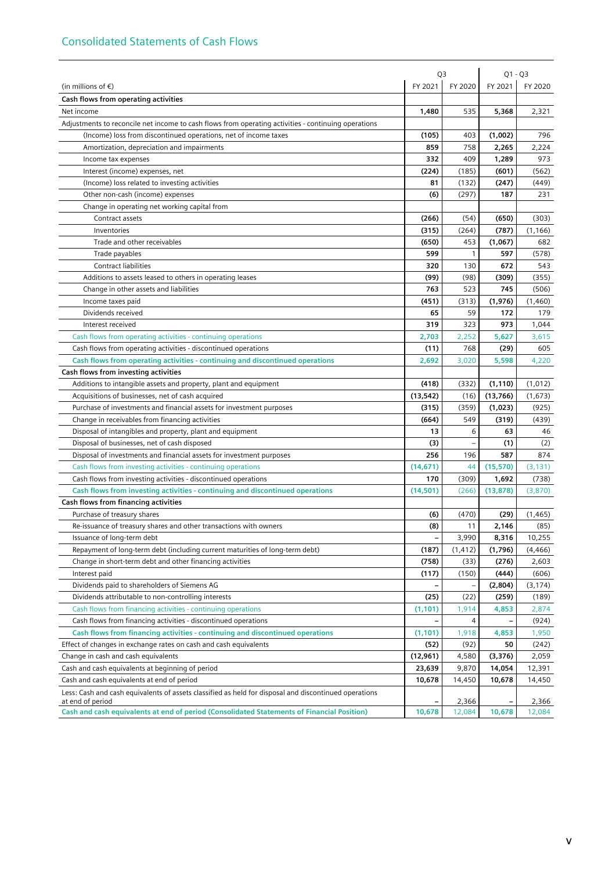|                                                                                                                           | Q3                |              | $Q1 - Q3$   |             |
|---------------------------------------------------------------------------------------------------------------------------|-------------------|--------------|-------------|-------------|
| (in millions of $\epsilon$ )                                                                                              | FY 2021           | FY 2020      | FY 2021     | FY 2020     |
| Cash flows from operating activities                                                                                      |                   |              |             |             |
| Net income                                                                                                                | 1,480             | 535          | 5,368       | 2,321       |
| Adjustments to reconcile net income to cash flows from operating activities - continuing operations                       |                   |              |             |             |
| (Income) loss from discontinued operations, net of income taxes                                                           | (105)             | 403          | (1,002)     | 796         |
| Amortization, depreciation and impairments                                                                                | 859               | 758          | 2,265       | 2,224       |
| Income tax expenses                                                                                                       | 332               | 409          | 1,289       | 973         |
| Interest (income) expenses, net                                                                                           | (224)             | (185)        | (601)       | (562)       |
| (Income) loss related to investing activities                                                                             | 81                | (132)        | (247)       | (449)       |
| Other non-cash (income) expenses                                                                                          | (6)               | (297)        | 187         | 231         |
| Change in operating net working capital from                                                                              |                   |              |             |             |
| Contract assets                                                                                                           | (266)             | (54)         | (650)       | (303)       |
| Inventories                                                                                                               | (315)             | (264)        | (787)       | (1, 166)    |
| Trade and other receivables                                                                                               | (650)             | 453          | (1,067)     | 682         |
| Trade payables                                                                                                            | 599               | 1            | 597         | (578)       |
| <b>Contract liabilities</b>                                                                                               | 320               | 130          | 672         | 543         |
| Additions to assets leased to others in operating leases                                                                  | (99)              | (98)         | (309)       | (355)       |
| Change in other assets and liabilities                                                                                    | 763               | 523          | 745         | (506)       |
| Income taxes paid                                                                                                         | (451)             | (313)        | (1,976)     | (1,460)     |
| Dividends received                                                                                                        | 65                | 59           | 172         | 179         |
| Interest received                                                                                                         | 319               | 323          | 973         | 1,044       |
| Cash flows from operating activities - continuing operations                                                              | 2,703             | 2,252        | 5,627       | 3,615       |
| Cash flows from operating activities - discontinued operations                                                            | (11)              | 768          | (29)        | 605         |
| Cash flows from operating activities - continuing and discontinued operations                                             | 2,692             | 3,020        | 5,598       | 4,220       |
| Cash flows from investing activities                                                                                      |                   |              |             |             |
| Additions to intangible assets and property, plant and equipment                                                          | (418)             | (332)        | (1, 110)    | (1,012)     |
|                                                                                                                           |                   | (16)         |             |             |
| Acquisitions of businesses, net of cash acquired                                                                          | (13, 542)         |              | (13,766)    | (1,673)     |
| Purchase of investments and financial assets for investment purposes                                                      | (315)             | (359)<br>549 | (1,023)     | (925)       |
| Change in receivables from financing activities                                                                           | (664)<br>13       | 6            | (319)<br>63 | (439)<br>46 |
| Disposal of intangibles and property, plant and equipment                                                                 |                   |              |             |             |
| Disposal of businesses, net of cash disposed                                                                              | (3)               |              | (1)         | (2)         |
| Disposal of investments and financial assets for investment purposes                                                      | 256               | 196          | 587         | 874         |
| Cash flows from investing activities - continuing operations                                                              | (14, 671)         | 44           | (15, 570)   | (3, 131)    |
| Cash flows from investing activities - discontinued operations                                                            | 170               | (309)        | 1,692       | (738)       |
| Cash flows from investing activities - continuing and discontinued operations                                             | (14, 501)         | (266)        | (13, 878)   | (3,870)     |
| Cash flows from financing activities                                                                                      |                   |              |             |             |
| Purchase of treasury shares                                                                                               | (6)               | (470)        | (29)        | (1, 465)    |
| Re-issuance of treasury shares and other transactions with owners                                                         | (8)               | 11           | 2,146       | (85)        |
| Issuance of long-term debt                                                                                                | $\qquad \qquad -$ | 3,990        | 8,316       | 10,255      |
| Repayment of long-term debt (including current maturities of long-term debt)                                              | (187)             | (1, 412)     | (1,796)     | (4, 466)    |
| Change in short-term debt and other financing activities                                                                  | (758)             | (33)         | (276)       | 2,603       |
| Interest paid                                                                                                             | (117)             | (150)        | (444)       | (606)       |
| Dividends paid to shareholders of Siemens AG                                                                              |                   |              | (2,804)     | (3, 174)    |
| Dividends attributable to non-controlling interests                                                                       | (25)              | (22)         | (259)       | (189)       |
| Cash flows from financing activities - continuing operations                                                              | (1, 101)          | 1,914        | 4,853       | 2,874       |
| Cash flows from financing activities - discontinued operations                                                            |                   | 4            |             | (924)       |
| Cash flows from financing activities - continuing and discontinued operations                                             | (1, 101)          | 1,918        | 4,853       | 1,950       |
| Effect of changes in exchange rates on cash and cash equivalents                                                          | (52)              | (92)         | 50          | (242)       |
| Change in cash and cash equivalents                                                                                       | (12,961)          | 4,580        | (3, 376)    | 2,059       |
| Cash and cash equivalents at beginning of period                                                                          | 23,639            | 9,870        | 14,054      | 12,391      |
| Cash and cash equivalents at end of period                                                                                | 10,678            | 14,450       | 10,678      | 14,450      |
| Less: Cash and cash equivalents of assets classified as held for disposal and discontinued operations<br>at end of period |                   | 2,366        |             | 2,366       |
| Cash and cash equivalents at end of period (Consolidated Statements of Financial Position)                                | 10,678            | 12,084       | 10,678      | 12,084      |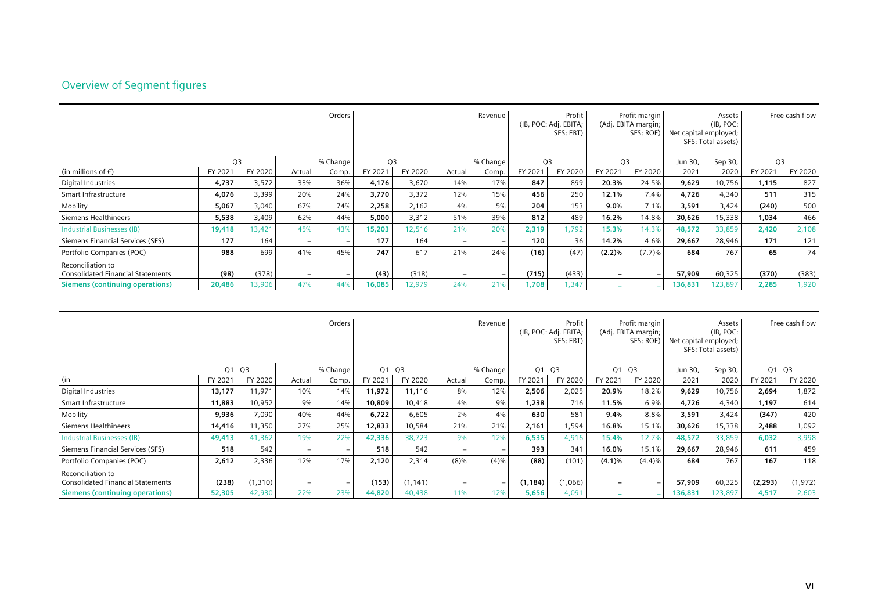### Overview of Segment figures

|                                                               |                |         |                          | Orders   |                | Revenue |                          |          |                | Profit  <br>Profit margin<br>(IB, POC: Adj. EBITA;<br>(Adj. EBITA margin;<br>SFS: EBT)<br>SFS: ROE) |                |         | Net capital employed; | Assets<br>(IB, POC:<br>SFS: Total assets) | Free cash flow |         |
|---------------------------------------------------------------|----------------|---------|--------------------------|----------|----------------|---------|--------------------------|----------|----------------|-----------------------------------------------------------------------------------------------------|----------------|---------|-----------------------|-------------------------------------------|----------------|---------|
|                                                               | Q <sub>3</sub> |         |                          | % Change | Q <sub>3</sub> |         |                          | % Change | Q <sub>3</sub> |                                                                                                     | Q <sub>3</sub> |         | Jun 30,               | Sep 30,                                   | Q3             |         |
| (in millions of $\epsilon$ )                                  | FY 2021        | FY 2020 | Actual                   | Comp.    | FY 2021        | FY 2020 | Actual                   | Comp.    | FY 2021        | FY 2020                                                                                             | FY 2021        | FY 2020 | 2021                  | 2020                                      | FY 2021        | FY 2020 |
| Digital Industries                                            | 4,737          | 3,572   | 33%                      | 36%      | 4,176          | 3,670   | 14%                      | 17%      | 847            | 899                                                                                                 | 20.3%          | 24.5%   | 9,629                 | 10,756                                    | 1,115          | 827     |
| Smart Infrastructure                                          | 4,076          | 3,399   | 20%                      | 24%      | 3,770          | 3,372   | 12%                      | 15%      | 456            | 250                                                                                                 | 12.1%          | 7.4%    | 4,726                 | 4,340                                     | 511            | 315     |
| Mobility                                                      | 5,067          | 3,040   | 67%                      | 74%      | 2,258          | 2,162   | 4%                       | 5%       | 204            | 153                                                                                                 | 9.0%           | 7.1%    | 3,591                 | 3,424                                     | (240)          | 500     |
| Siemens Healthineers                                          | 5,538          | 3,409   | 62%                      | 44%      | 5,000          | 3,312   | 51%                      | 39%      | 812            | 489                                                                                                 | 16.2%          | 14.8%   | 30,626                | 15,338                                    | 1,034          | 466     |
| <b>Industrial Businesses (IB)</b>                             | 19,418         | 13,421  | 45%                      | 43%      | 15,203         | 12,516  | 21%                      | 20%      | 2,319          | 1,792                                                                                               | 15.3%          | 14.3%   | 48,572                | 33,859                                    | 2,420          | 2,108   |
| Siemens Financial Services (SFS)                              | 177            | 164     | $\overline{\phantom{0}}$ | $-$      | 177            | 164     | $\overline{\phantom{0}}$ |          | 120            | 36 <sub>1</sub>                                                                                     | 14.2%          | 4.6%    | 29,667                | 28,946                                    | 171            | 121     |
| Portfolio Companies (POC)                                     | 988            | 699     | 41%                      | 45%      | 747            | 617     | 21%                      | 24%      | (16)           | (47)                                                                                                | (2.2)%         | (7.7)%  | 684                   | 767                                       | 65             | 74      |
| Reconciliation to<br><b>Consolidated Financial Statements</b> | (98)           | (378)   | $\overline{\phantom{0}}$ | $-$      | (43)           | (318)   | $-$                      |          | (715)          | (433)                                                                                               |                |         | 57,909                | 60,325                                    | (370)          | (383)   |
| Siemens (continuing operations)                               | 20,486         | 13,906  | 47%                      | 44%      | 16,085         | 12,979  | 24%                      | 21%      | 1,708          | 1,347                                                                                               |                |         | 136,831               | 123.897                                   | 2,285          | 1,920   |

|                                                               |           |         |                                 | Orders   |           |          |                          | Revenue  |           | Profit<br>(IB, POC: Adj. EBITA;<br>SFS: EBT) |           | Profit margin<br>(Adj. EBITA margin;<br>SFS: ROE) |         | Assets<br>(IB, POC:<br>Net capital employed;<br>SFS: Total assets) |           | Free cash flow |
|---------------------------------------------------------------|-----------|---------|---------------------------------|----------|-----------|----------|--------------------------|----------|-----------|----------------------------------------------|-----------|---------------------------------------------------|---------|--------------------------------------------------------------------|-----------|----------------|
|                                                               | $Q1 - Q3$ |         |                                 | % Change | $Q1 - Q3$ |          |                          | % Change | $Q1 - Q3$ |                                              | $Q1 - Q3$ |                                                   | Jun 30, | Sep 30,                                                            | $Q1 - Q3$ |                |
| (in                                                           | FY 2021   | FY 2020 | Actual                          | Comp.    | FY 2021   | FY 2020  | Actual                   | Comp.    | FY 2021   | FY 2020                                      | FY 2021   | FY 2020                                           | 2021    | 2020                                                               | FY 2021   | FY 2020        |
| Digital Industries                                            | 13,177    | 11,971  | 10%                             | 14%      | 11,972    | 11,116   | 8%                       | 12%      | 2,506     | 2,025                                        | 20.9%     | 18.2%                                             | 9,629   | 10,756                                                             | 2,694     | 1,872          |
| Smart Infrastructure                                          | 11,883    | 10,952  | 9%                              | 14%      | 10,809    | 10,418   | 4%                       | 9%       | 1,238     | 716                                          | 11.5%     | 6.9%                                              | 4,726   | 4,340                                                              | 1,197     | 614            |
| Mobility                                                      | 9,936     | 7,090   | 40%                             | 44%      | 6,722     | 6,605    | 2%                       | 4%       | 630       | 581                                          | 9.4%      | 8.8%                                              | 3,591   | 3,424                                                              | (347)     | 420            |
| Siemens Healthineers                                          | 14,416    | 11,350  | 27%                             | 25%      | 12,833    | 10,584   | 21%                      | 21%      | 2,161     | 1,594                                        | 16.8%     | 15.1%                                             | 30,626  | 15,338                                                             | 2,488     | 1,092          |
| <b>Industrial Businesses (IB)</b>                             | 49,413    | 41,362  | 19%                             | 22%      | 42,336    | 38,723   | 9%                       | 12%      | 6,535     | 4,916                                        | 15.4%     | 12.7%                                             | 48,572  | 33,859                                                             | 6,032     | 3,998          |
| Siemens Financial Services (SFS)                              | 518       | 542     | $\overline{\phantom{0}}$        | $-$      | 518       | 542      | $-$                      |          | 393       | 341                                          | 16.0%     | 15.1%                                             | 29,667  | 28,946                                                             | 611       | 459            |
| Portfolio Companies (POC)                                     | 2,612     | 2,336   | 12%                             | 17%      | 2,120     | 2,314    | $(8)\%$                  | (4)%     | (88)      | (101)                                        | (4.1)%    | (4.4)%                                            | 684     | 767                                                                | 167       | 118            |
| Reconciliation to<br><b>Consolidated Financial Statements</b> | (238)     | (1,310) | $\hspace{0.1mm}-\hspace{0.1mm}$ |          | (153)     | (1, 141) | $\overline{\phantom{0}}$ |          | (1, 184)  | (1,066)                                      |           |                                                   | 57,909  | 60,325                                                             | (2, 293)  | (1, 972)       |
| <b>Siemens (continuing operations)</b>                        | 52,305    | 42,930  | 22%                             | 23%      | 44,820    | 40,438   | 11%                      | 12%      | 5,656     | 4,091                                        |           |                                                   | 136,831 | 23,897                                                             | 4,517     | 2,603          |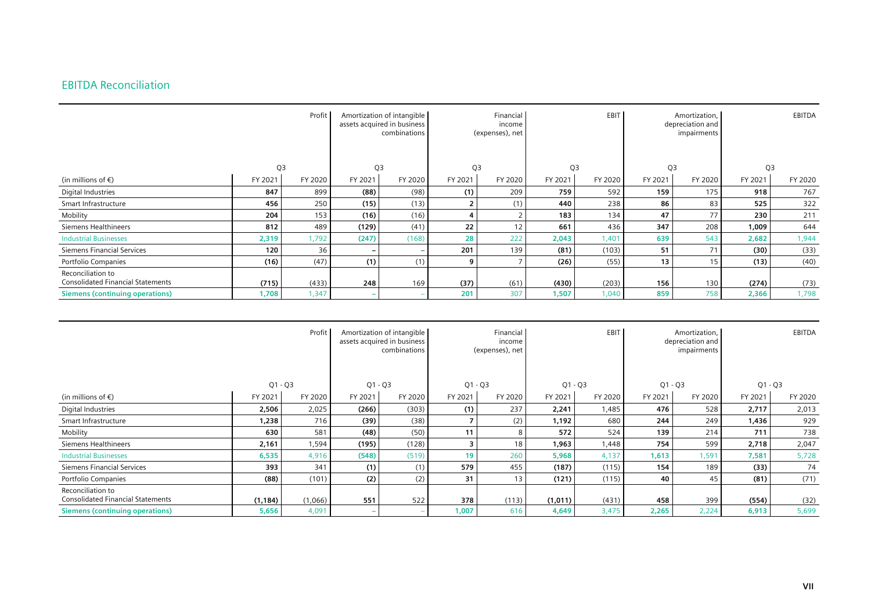### EBITDA Reconciliation

|                                                               |                | Profit  |                          | Amortization of intangible<br>assets acquired in business<br>combinations |                | Financial<br>income<br>(expenses), net |                | EBIT    | Amortization,<br>depreciation and<br>impairments |         |         | EBITDA  |
|---------------------------------------------------------------|----------------|---------|--------------------------|---------------------------------------------------------------------------|----------------|----------------------------------------|----------------|---------|--------------------------------------------------|---------|---------|---------|
|                                                               | Q <sub>3</sub> |         | Q <sub>3</sub>           |                                                                           | Q <sub>3</sub> |                                        | Q <sub>3</sub> |         | Q <sub>3</sub>                                   |         | Q3      |         |
| (in millions of $\epsilon$ )                                  | FY 2021        | FY 2020 | FY 2021                  | FY 2020                                                                   | FY 2021        | FY 2020                                | FY 2021        | FY 2020 | FY 2021                                          | FY 2020 | FY 2021 | FY 2020 |
| Digital Industries                                            | 847            | 899     | (88)                     | (98)                                                                      | (1)            | 209                                    | 759            | 592     | 159                                              | 175     | 918     | 767     |
| Smart Infrastructure                                          | 456            | 250     | (15)                     | (13)                                                                      | $\overline{2}$ | (1)                                    | 440            | 238     | 86                                               | 83      | 525     | 322     |
| Mobility                                                      | 204            | 153     | (16)                     | (16)                                                                      | 4              |                                        | 183            | 134     | 47                                               | 77      | 230     | 211     |
| Siemens Healthineers                                          | 812            | 489     | (129)                    | (41)                                                                      | 22             |                                        | 661            | 436     | 347                                              | 208     | 1,009   | 644     |
| <b>Industrial Businesses</b>                                  | 2,319          | 1,792   | (247)                    | (168)                                                                     | 28             | 222                                    | 2,043          | 1,401   | 639                                              | 543     | 2,682   | 1,944   |
| Siemens Financial Services                                    | 120            | 36      | $\overline{\phantom{0}}$ |                                                                           | 201            | 139                                    | (81)           | (103)   | 51                                               | 71      | (30)    | (33)    |
| Portfolio Companies                                           | (16)           | (47)    | (1)                      | (1)                                                                       | 9              |                                        | (26)           | (55)    | 13                                               | 15      | (13)    | (40)    |
| Reconciliation to<br><b>Consolidated Financial Statements</b> | (715)          | (433)   | 248                      | 169                                                                       | (37)           | (61)                                   | (430)          | (203)   | 156                                              | 130     | (274)   | (73)    |
| <b>Siemens (continuing operations)</b>                        | 1,708          | 1,347   |                          |                                                                           | 201            | 307                                    | 1,507          | 1,040   | 859                                              | 758     | 2,366   | 1,798   |

|                                                               | Profit    |         |           |         |           | Amortization of intangible<br>assets acquired in business<br>combinations |           | Financial<br>income<br>(expenses), net |           | EBIT    |           | Amortization,<br>depreciation and<br>impairments |  | EBITDA |
|---------------------------------------------------------------|-----------|---------|-----------|---------|-----------|---------------------------------------------------------------------------|-----------|----------------------------------------|-----------|---------|-----------|--------------------------------------------------|--|--------|
|                                                               | $Q1 - Q3$ |         | $Q1 - Q3$ |         | $Q1 - Q3$ |                                                                           | $Q1 - Q3$ |                                        | $Q1 - Q3$ |         | $Q1 - Q3$ |                                                  |  |        |
| (in millions of $\epsilon$ )                                  | FY 2021   | FY 2020 | FY 2021   | FY 2020 | FY 2021   | FY 2020                                                                   | FY 2021   | FY 2020                                | FY 2021   | FY 2020 | FY 2021   | FY 2020                                          |  |        |
| Digital Industries                                            | 2,506     | 2,025   | (266)     | (303)   | (1)       | 237                                                                       | 2,241     | 1,485                                  | 476       | 528     | 2,717     | 2,013                                            |  |        |
| Smart Infrastructure                                          | 1,238     | 716     | (39)      | (38)    |           | (2)                                                                       | 1,192     | 680                                    | 244       | 249     | 1,436     | 929                                              |  |        |
| Mobility                                                      | 630       | 581     | (48)      | (50)    | 11        | 8                                                                         | 572       | 524                                    | 139       | 214     | 711       | 738                                              |  |        |
| Siemens Healthineers                                          | 2,161     | 1,594   | (195)     | (128)   | з         | 18                                                                        | 1,963     | 1,448                                  | 754       | 599     | 2,718     | 2,047                                            |  |        |
| <b>Industrial Businesses</b>                                  | 6,535     | 4,916   | (548)     | (519)   | 19        | 260                                                                       | 5,968     | 4,137                                  | 1,613     | 1,591   | 7,581     | 5,728                                            |  |        |
| Siemens Financial Services                                    | 393       | 341     | (1)       | (1)     | 579       | 455                                                                       | (187)     | (115)                                  | 154       | 189     | (33)      | 74                                               |  |        |
| Portfolio Companies                                           | (88)      | (101)   | (2)       | (2)     | 31        | 13                                                                        | (121)     | (115)                                  | 40        | 45      | (81)      | (71)                                             |  |        |
| Reconciliation to<br><b>Consolidated Financial Statements</b> | (1, 184)  | (1,066) | 551       | 522     | 378       | (113)                                                                     | (1,011)   | (431)                                  | 458       | 399     | (554)     | (32)                                             |  |        |
| <b>Siemens (continuing operations)</b>                        | 5,656     | 4,091   |           |         | 1,007     | 616                                                                       | 4,649     | 3,475                                  | 2,265     | 2,224   | 6,913     | 5,699                                            |  |        |